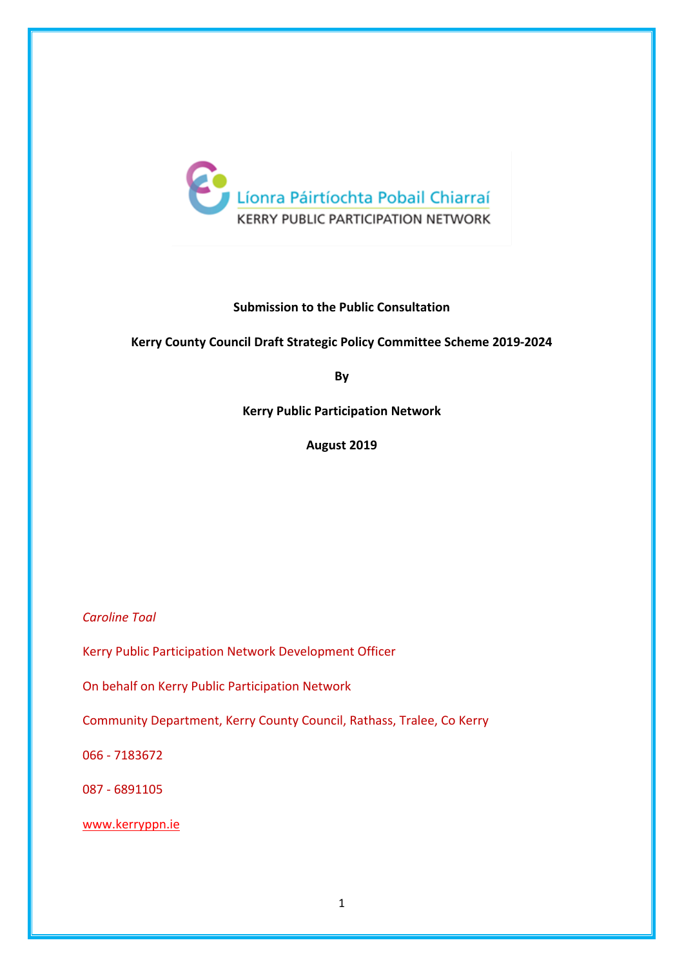

## **Submission to the Public Consultation**

#### **Kerry County Council Draft Strategic Policy Committee Scheme 2019-2024**

**By**

**Kerry Public Participation Network**

**August 2019**

*Caroline Toal*

Kerry Public Participation Network Development Officer

On behalf on Kerry Public Participation Network

Community Department, Kerry County Council, Rathass, Tralee, Co Kerry

066 - 7183672

087 - 6891105

www.kerryppn.ie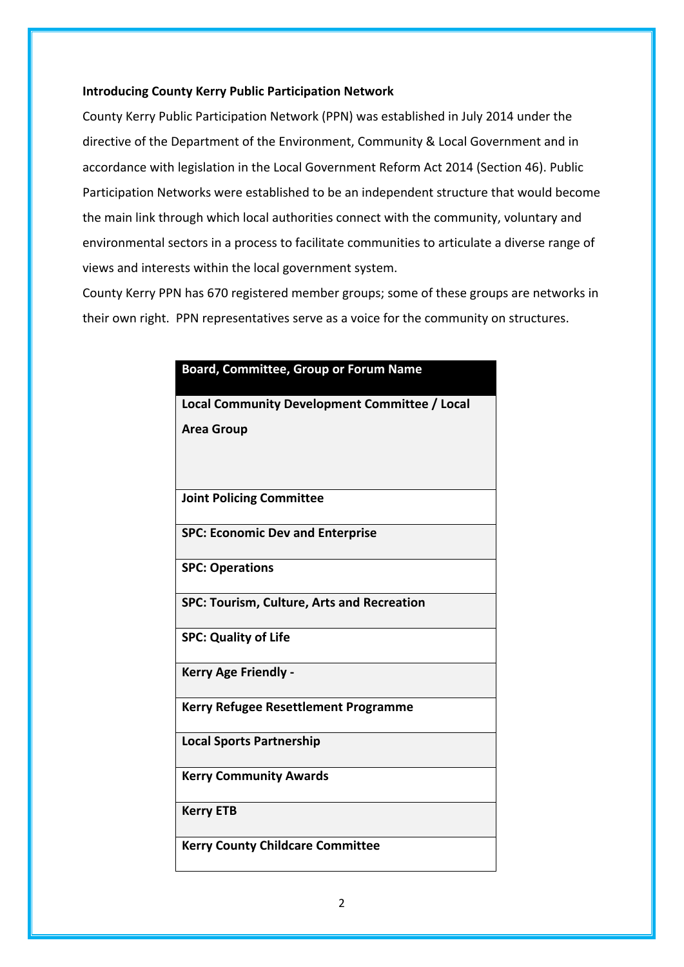#### **Introducing County Kerry Public Participation Network**

County Kerry Public Participation Network (PPN) was established in July 2014 under the directive of the Department of the Environment, Community & Local Government and in accordance with legislation in the Local Government Reform Act 2014 (Section 46). Public Participation Networks were established to be an independent structure that would become the main link through which local authorities connect with the community, voluntary and environmental sectors in a process to facilitate communities to articulate a diverse range of views and interests within the local government system.

County Kerry PPN has 670 registered member groups; some of these groups are networks in their own right. PPN representatives serve as a voice for the community on structures.

| <b>Board, Committee, Group or Forum Name</b>      |
|---------------------------------------------------|
| Local Community Development Committee / Local     |
| <b>Area Group</b>                                 |
|                                                   |
| <b>Joint Policing Committee</b>                   |
| <b>SPC: Economic Dev and Enterprise</b>           |
| <b>SPC: Operations</b>                            |
| <b>SPC: Tourism, Culture, Arts and Recreation</b> |
| <b>SPC: Quality of Life</b>                       |
| <b>Kerry Age Friendly -</b>                       |
| Kerry Refugee Resettlement Programme              |
| <b>Local Sports Partnership</b>                   |
| <b>Kerry Community Awards</b>                     |
| <b>Kerry ETB</b>                                  |
| <b>Kerry County Childcare Committee</b>           |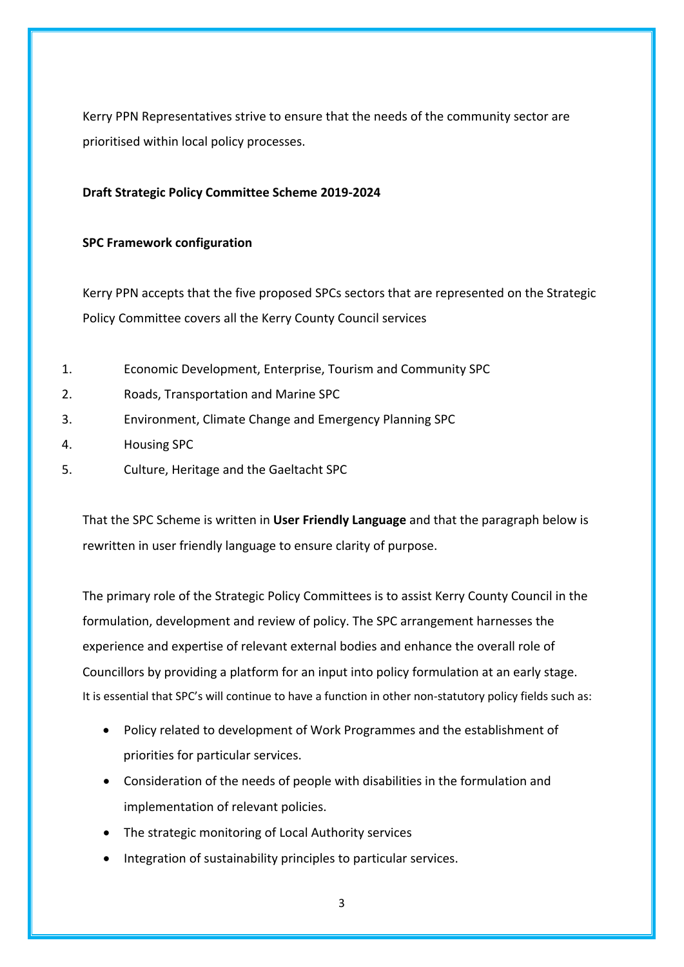Kerry PPN Representatives strive to ensure that the needs of the community sector are prioritised within local policy processes.

## **Draft Strategic Policy Committee Scheme 2019-2024**

## **SPC Framework configuration**

Kerry PPN accepts that the five proposed SPCs sectors that are represented on the Strategic Policy Committee covers all the Kerry County Council services

- 1. Economic Development, Enterprise, Tourism and Community SPC
- 2. Roads, Transportation and Marine SPC
- 3. Environment, Climate Change and Emergency Planning SPC
- 4. Housing SPC
- 5. Culture, Heritage and the Gaeltacht SPC

That the SPC Scheme is written in **User Friendly Language** and that the paragraph below is rewritten in user friendly language to ensure clarity of purpose.

The primary role of the Strategic Policy Committees is to assist Kerry County Council in the formulation, development and review of policy. The SPC arrangement harnesses the experience and expertise of relevant external bodies and enhance the overall role of Councillors by providing a platform for an input into policy formulation at an early stage. It is essential that SPC's will continue to have a function in other non-statutory policy fields such as:

- Policy related to development of Work Programmes and the establishment of priorities for particular services.
- Consideration of the needs of people with disabilities in the formulation and implementation of relevant policies.
- The strategic monitoring of Local Authority services
- Integration of sustainability principles to particular services.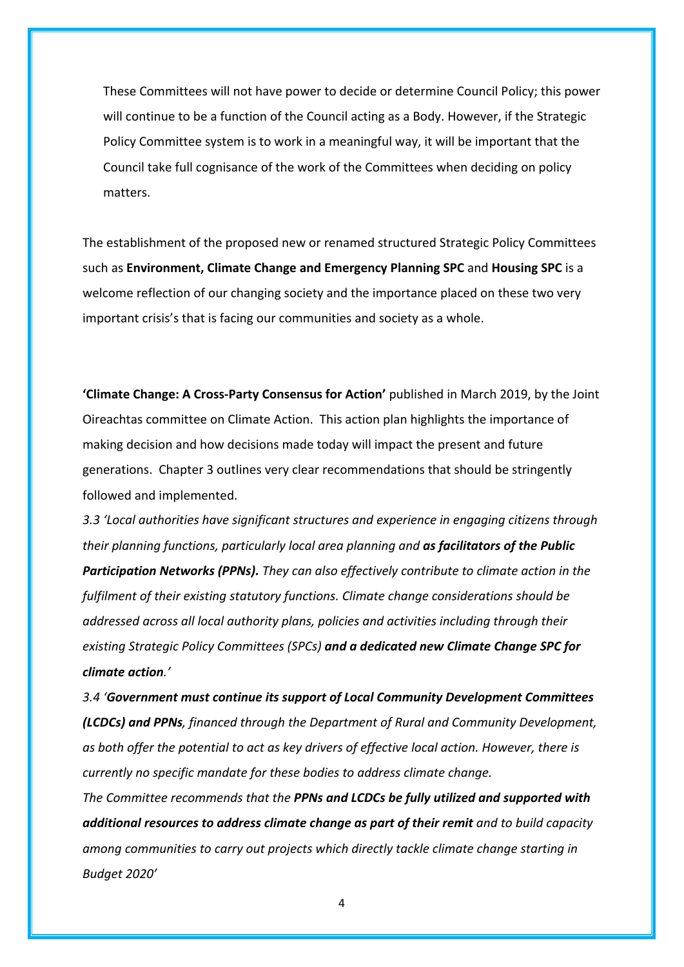These Committees will not have power to decide or determine Council Policy; this power will continue to be a function of the Council acting as a Body. However, if the Strategic Policy Committee system is to work in a meaningful way, it will be important that the Council take full cognisance of the work of the Committees when deciding on policy matters.

The establishment of the proposed new or renamed structured Strategic Policy Committees such as **Environment, Climate Change and Emergency Planning SPC** and **Housing SPC** is a welcome reflection of our changing society and the importance placed on these two very important crisis's that is facing our communities and society as a whole.

**'Climate Change: A Cross-Party Consensus for Action'** published in March 2019, by the Joint Oireachtas committee on Climate Action. This action plan highlights the importance of making decision and how decisions made today will impact the present and future generations. Chapter 3 outlines very clear recommendations that should be stringently followed and implemented.

*3.3 'Local authorities have significant structures and experience in engaging citizens through their planning functions, particularly local area planning and as facilitators of the Public Participation Networks (PPNs). They can also effectively contribute to climate action in the fulfilment of their existing statutory functions. Climate change considerations should be addressed across all local authority plans, policies and activities including through their existing Strategic Policy Committees (SPCs) and a dedicated new Climate Change SPC for climate action.'*

*3.4 'Government must continue its support of Local Community Development Committees (LCDCs) and PPNs, financed through the Department of Rural and Community Development, as both offer the potential to act as key drivers of effective local action. However, there is currently no specific mandate for these bodies to address climate change.*

*The Committee recommends that the PPNs and LCDCs be fully utilized and supported with additional resources to address climate change as part of their remit and to build capacity among communities to carry out projects which directly tackle climate change starting in Budget 2020'*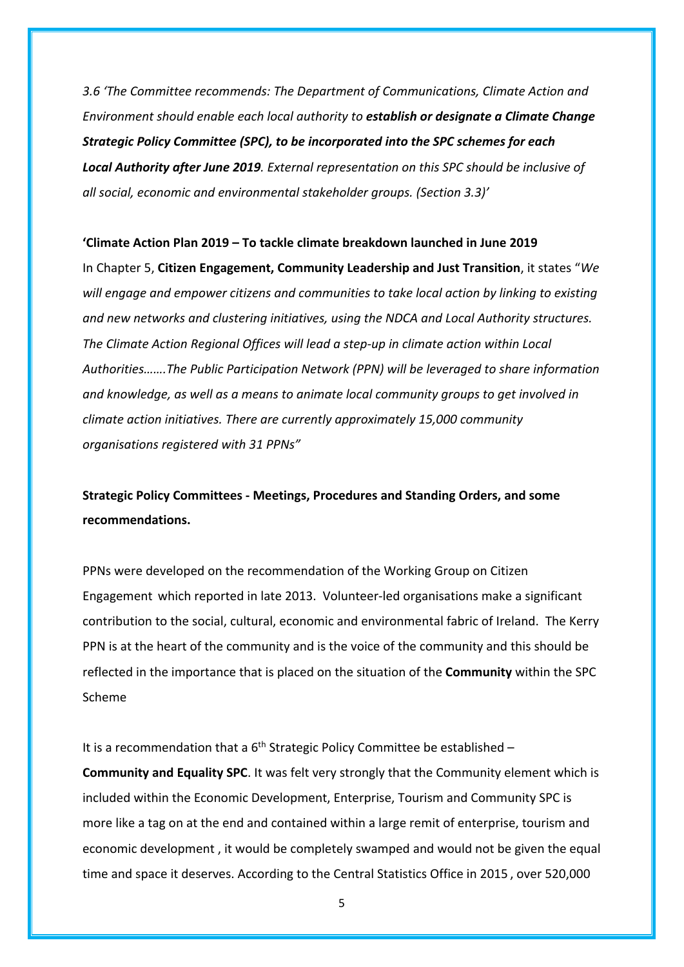*3.6 'The Committee recommends: The Department of Communications, Climate Action and Environment should enable each local authority to establish or designate a Climate Change Strategic Policy Committee (SPC), to be incorporated into the SPC schemes for each Local Authority after June 2019. External representation on this SPC should be inclusive of all social, economic and environmental stakeholder groups. (Section 3.3)'*

#### **'Climate Action Plan 2019 – To tackle climate breakdown launched in June 2019**

In Chapter 5, **Citizen Engagement, Community Leadership and Just Transition**, it states "*We will engage and empower citizens and communities to take local action by linking to existing and new networks and clustering initiatives, using the NDCA and Local Authority structures. The Climate Action Regional Offices will lead a step-up in climate action within Local Authorities…….The Public Participation Network (PPN) will be leveraged to share information and knowledge, as well as a means to animate local community groups to get involved in climate action initiatives. There are currently approximately 15,000 community organisations registered with 31 PPNs"*

**Strategic Policy Committees - Meetings, Procedures and Standing Orders, and some recommendations.**

PPNs were developed on the recommendation of the Working Group on Citizen Engagement which reported in late 2013. Volunteer-led organisations make a significant contribution to the social, cultural, economic and environmental fabric of Ireland. The Kerry PPN is at the heart of the community and is the voice of the community and this should be reflected in the importance that is placed on the situation of the **Community** within the SPC Scheme

It is a recommendation that a  $6<sup>th</sup>$  Strategic Policy Committee be established –

**Community and Equality SPC**. It was felt very strongly that the Community element which is included within the Economic Development, Enterprise, Tourism and Community SPC is more like a tag on at the end and contained within a large remit of enterprise, tourism and economic development , it would be completely swamped and would not be given the equal time and space it deserves. According to the Central Statistics Office in 2015 , over 520,000

5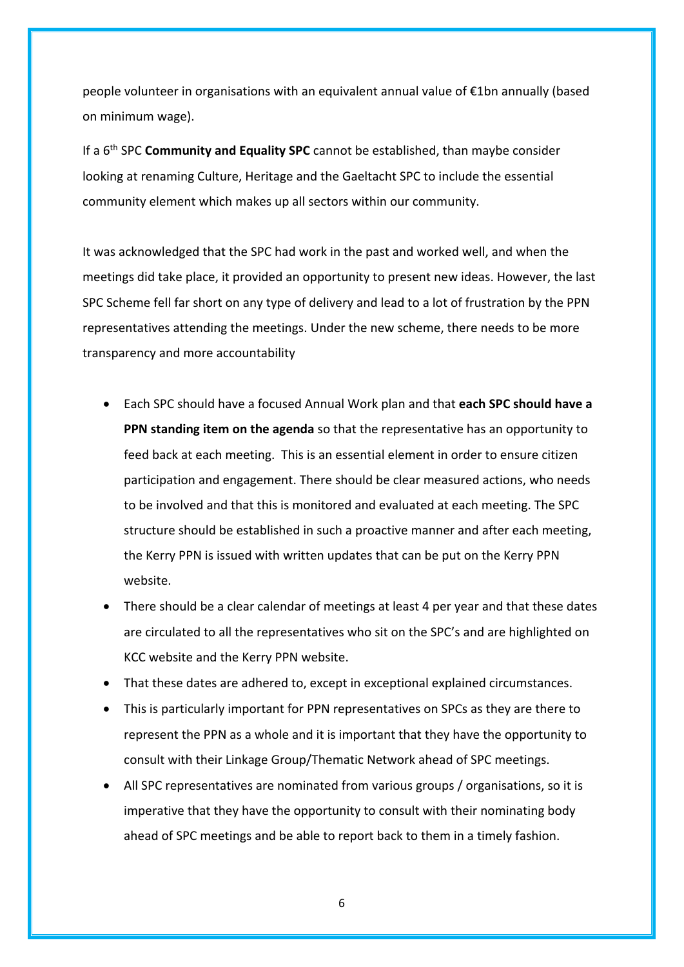people volunteer in organisations with an equivalent annual value of €1bn annually (based on minimum wage).

If a 6th SPC **Community and Equality SPC** cannot be established, than maybe consider looking at renaming Culture, Heritage and the Gaeltacht SPC to include the essential community element which makes up all sectors within our community.

It was acknowledged that the SPC had work in the past and worked well, and when the meetings did take place, it provided an opportunity to present new ideas. However, the last SPC Scheme fell far short on any type of delivery and lead to a lot of frustration by the PPN representatives attending the meetings. Under the new scheme, there needs to be more transparency and more accountability

- Each SPC should have a focused Annual Work plan and that **each SPC should have a PPN standing item on the agenda** so that the representative has an opportunity to feed back at each meeting. This is an essential element in order to ensure citizen participation and engagement. There should be clear measured actions, who needs to be involved and that this is monitored and evaluated at each meeting. The SPC structure should be established in such a proactive manner and after each meeting, the Kerry PPN is issued with written updates that can be put on the Kerry PPN website.
- There should be a clear calendar of meetings at least 4 per year and that these dates are circulated to all the representatives who sit on the SPC's and are highlighted on KCC website and the Kerry PPN website.
- That these dates are adhered to, except in exceptional explained circumstances.
- This is particularly important for PPN representatives on SPCs as they are there to represent the PPN as a whole and it is important that they have the opportunity to consult with their Linkage Group/Thematic Network ahead of SPC meetings.
- All SPC representatives are nominated from various groups / organisations, so it is imperative that they have the opportunity to consult with their nominating body ahead of SPC meetings and be able to report back to them in a timely fashion.

6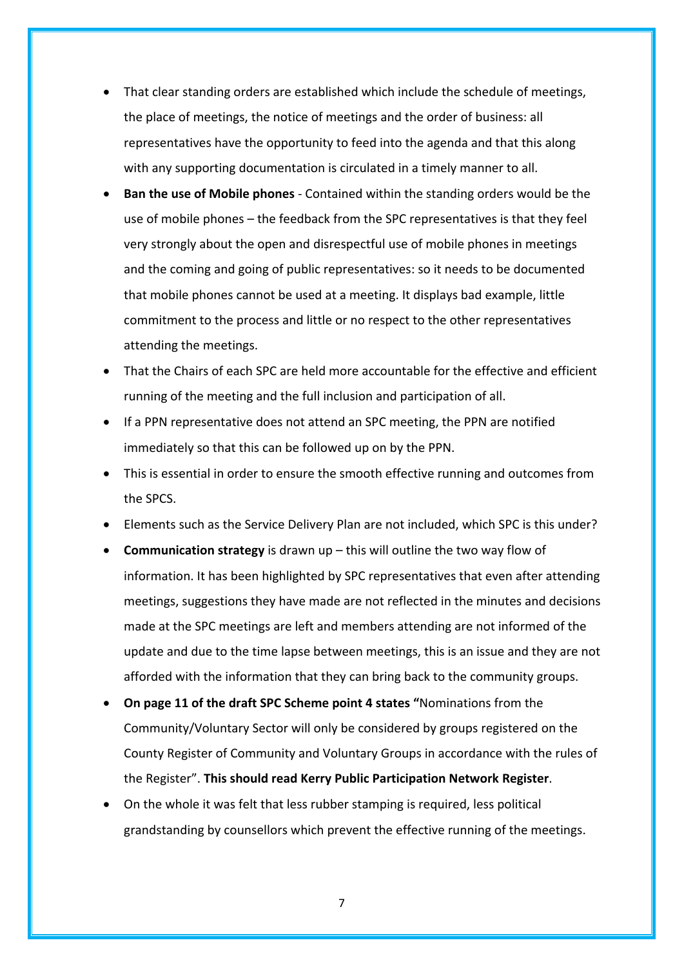- That clear standing orders are established which include the schedule of meetings, the place of meetings, the notice of meetings and the order of business: all representatives have the opportunity to feed into the agenda and that this along with any supporting documentation is circulated in a timely manner to all.
- **Ban the use of Mobile phones** Contained within the standing orders would be the use of mobile phones – the feedback from the SPC representatives is that they feel very strongly about the open and disrespectful use of mobile phones in meetings and the coming and going of public representatives: so it needs to be documented that mobile phones cannot be used at a meeting. It displays bad example, little commitment to the process and little or no respect to the other representatives attending the meetings.
- That the Chairs of each SPC are held more accountable for the effective and efficient running of the meeting and the full inclusion and participation of all.
- If a PPN representative does not attend an SPC meeting, the PPN are notified immediately so that this can be followed up on by the PPN.
- This is essential in order to ensure the smooth effective running and outcomes from the SPCS.
- Elements such as the Service Delivery Plan are not included, which SPC is this under?
- **Communication strategy** is drawn up this will outline the two way flow of information. It has been highlighted by SPC representatives that even after attending meetings, suggestions they have made are not reflected in the minutes and decisions made at the SPC meetings are left and members attending are not informed of the update and due to the time lapse between meetings, this is an issue and they are not afforded with the information that they can bring back to the community groups.
- **On page 11 of the draft SPC Scheme point 4 states "**Nominations from the Community/Voluntary Sector will only be considered by groups registered on the County Register of Community and Voluntary Groups in accordance with the rules of the Register". **This should read Kerry Public Participation Network Register**.
- On the whole it was felt that less rubber stamping is required, less political grandstanding by counsellors which prevent the effective running of the meetings.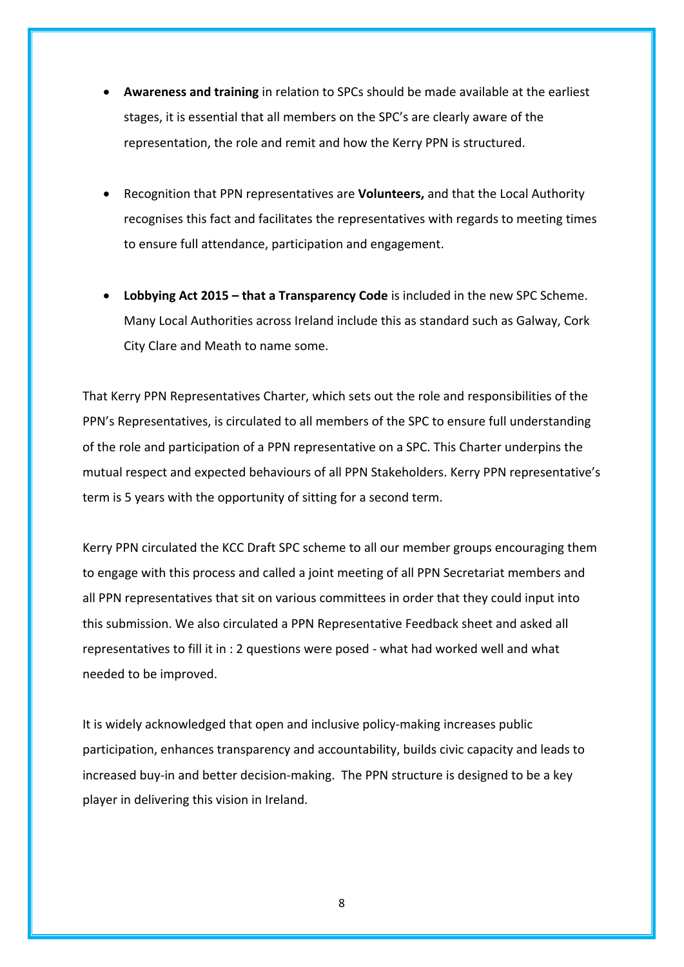- **Awareness and training** in relation to SPCs should be made available at the earliest stages, it is essential that all members on the SPC's are clearly aware of the representation, the role and remit and how the Kerry PPN is structured.
- Recognition that PPN representatives are **Volunteers,** and that the Local Authority recognises this fact and facilitates the representatives with regards to meeting times to ensure full attendance, participation and engagement.
- **Lobbying Act 2015 – that a Transparency Code** is included in the new SPC Scheme. Many Local Authorities across Ireland include this as standard such as Galway, Cork City Clare and Meath to name some.

That Kerry PPN Representatives Charter, which sets out the role and responsibilities of the PPN's Representatives, is circulated to all members of the SPC to ensure full understanding of the role and participation of a PPN representative on a SPC. This Charter underpins the mutual respect and expected behaviours of all PPN Stakeholders. Kerry PPN representative's term is 5 years with the opportunity of sitting for a second term.

Kerry PPN circulated the KCC Draft SPC scheme to all our member groups encouraging them to engage with this process and called a joint meeting of all PPN Secretariat members and all PPN representatives that sit on various committees in order that they could input into this submission. We also circulated a PPN Representative Feedback sheet and asked all representatives to fill it in : 2 questions were posed - what had worked well and what needed to be improved.

It is widely acknowledged that open and inclusive policy-making increases public participation, enhances transparency and accountability, builds civic capacity and leads to increased buy-in and better decision-making. The PPN structure is designed to be a key player in delivering this vision in Ireland.